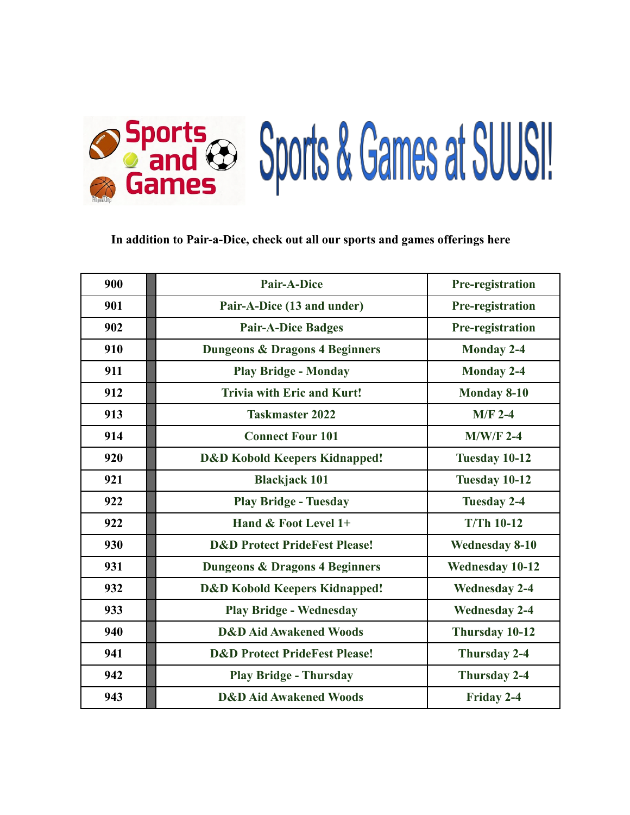

# **In addition to Pair-a-Dice, check out all our sports and games offerings here**

| 900 | <b>Pair-A-Dice</b>                        | <b>Pre-registration</b> |
|-----|-------------------------------------------|-------------------------|
| 901 | Pair-A-Dice (13 and under)                | Pre-registration        |
| 902 | <b>Pair-A-Dice Badges</b>                 | <b>Pre-registration</b> |
| 910 | <b>Dungeons &amp; Dragons 4 Beginners</b> | <b>Monday 2-4</b>       |
| 911 | <b>Play Bridge - Monday</b>               | <b>Monday 2-4</b>       |
| 912 | <b>Trivia with Eric and Kurt!</b>         | <b>Monday 8-10</b>      |
| 913 | <b>Taskmaster 2022</b>                    | $M/F$ 2-4               |
| 914 | <b>Connect Four 101</b>                   | $M/W/F$ 2-4             |
| 920 | <b>D&amp;D Kobold Keepers Kidnapped!</b>  | Tuesday 10-12           |
| 921 | <b>Blackjack 101</b>                      | Tuesday 10-12           |
| 922 | <b>Play Bridge - Tuesday</b>              | <b>Tuesday 2-4</b>      |
| 922 | Hand & Foot Level 1+                      | <b>T/Th 10-12</b>       |
| 930 | <b>D&amp;D Protect PrideFest Please!</b>  | <b>Wednesday 8-10</b>   |
| 931 | <b>Dungeons &amp; Dragons 4 Beginners</b> | <b>Wednesday 10-12</b>  |
| 932 | <b>D&amp;D Kobold Keepers Kidnapped!</b>  | <b>Wednesday 2-4</b>    |
| 933 | <b>Play Bridge - Wednesday</b>            | <b>Wednesday 2-4</b>    |
| 940 | <b>D&amp;D Aid Awakened Woods</b>         | Thursday 10-12          |
| 941 | <b>D&amp;D Protect PrideFest Please!</b>  | Thursday 2-4            |
| 942 | <b>Play Bridge - Thursday</b>             | <b>Thursday 2-4</b>     |
| 943 | <b>D&amp;D Aid Awakened Woods</b>         | Friday 2-4              |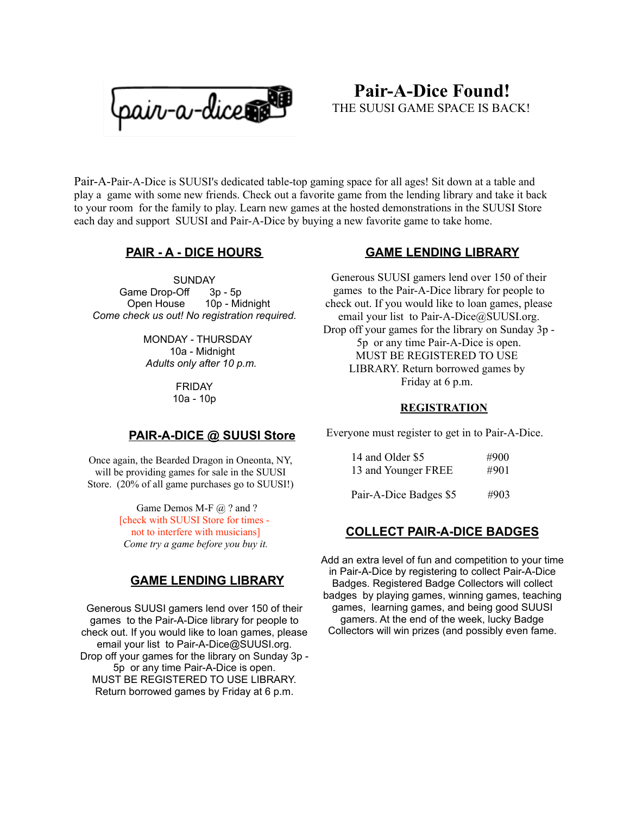

# **Pair-A-Dice Found!** THE SUUSI GAME SPACE IS BACK!

Pair-A-Pair-A-Dice is SUUSI's dedicated table-top gaming space for all ages! Sit down at a table and play a game with some new friends. Check out a favorite game from the lending library and take it back to your room for the family to play. Learn new games at the hosted demonstrations in the SUUSI Store each day and support SUUSI and Pair-A-Dice by buying a new favorite game to take home.

# **PAIR - A - DICE HOURS**

**SUNDAY** Game Drop-Off 3p - 5p Open House 10p - Midnight *Come check us out! No registration required.*

> MONDAY - THURSDAY 10a - Midnight *Adults only after 10 p.m.*

> > FRIDAY 10a - 10p

## **PAIR-A-DICE @ SUUSI Store**

Once again, the Bearded Dragon in Oneonta, NY, will be providing games for sale in the SUUSI Store. (20% of all game purchases go to SUUSI!)

> Game Demos M-F @ ? and ? [check with SUUSI Store for times not to interfere with musicians] *Come try a game before you buy it.*

## **GAME LENDING LIBRARY**

Generous SUUSI gamers lend over 150 of their games to the Pair-A-Dice library for people to check out. If you would like to loan games, please email your list to Pair-A-Dice@SUUSI.org. Drop off your games for the library on Sunday 3p - 5p or any time Pair-A-Dice is open. MUST BE REGISTERED TO USE LIBRARY. Return borrowed games by Friday at 6 p.m.

## **GAME LENDING LIBRARY**

Generous SUUSI gamers lend over 150 of their games to the Pair-A-Dice library for people to check out. If you would like to loan games, please email your list to Pair-A-Dice@SUUSI.org. Drop off your games for the library on Sunday 3p - 5p or any time Pair-A-Dice is open. MUST BE REGISTERED TO USE LIBRARY. Return borrowed games by Friday at 6 p.m.

#### **REGISTRATION**

Everyone must register to get in to Pair-A-Dice.

| 14 and Older \$5    | #900 |
|---------------------|------|
| 13 and Younger FREE | #901 |
|                     |      |

Pair-A-Dice Badges \$5 #903

## **COLLECT PAIR-A-DICE BADGES**

Add an extra level of fun and competition to your time in Pair-A-Dice by registering to collect Pair-A-Dice Badges. Registered Badge Collectors will collect badges by playing games, winning games, teaching games, learning games, and being good SUUSI gamers. At the end of the week, lucky Badge Collectors will win prizes (and possibly even fame.